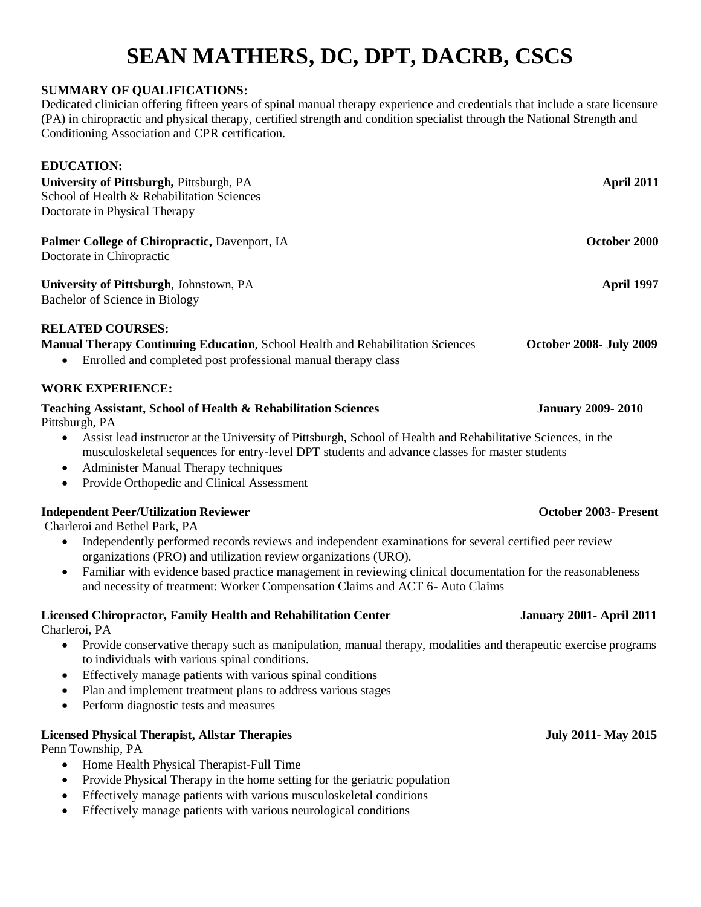# **SEAN MATHERS, DC, DPT, DACRB, CSCS**

### **SUMMARY OF QUALIFICATIONS:**

Dedicated clinician offering fifteen years of spinal manual therapy experience and credentials that include a state licensure (PA) in chiropractic and physical therapy, certified strength and condition specialist through the National Strength and Conditioning Association and CPR certification.

# **EDUCATION: University of Pittsburgh, Pittsburgh, PA April 2011** School of Health & Rehabilitation Sciences Doctorate in Physical Therapy **Palmer College of Chiropractic, Davenport, IA October 2000** Doctorate in Chiropractic **University of Pittsburgh**, Johnstown, PA **April 1997 April 1997** Bachelor of Science in Biology **RELATED COURSES: Manual Therapy Continuing Education**, School Health and Rehabilitation Sciences **October 2008- July 2009** • Enrolled and completed post professional manual therapy class **WORK EXPERIENCE: Teaching Assistant, School of Health & Rehabilitation Sciences January 2009- 2010**  Pittsburgh, PA Assist lead instructor at the University of Pittsburgh, School of Health and Rehabilitative Sciences, in the musculoskeletal sequences for entry-level DPT students and advance classes for master students • Administer Manual Therapy techniques

Provide Orthopedic and Clinical Assessment

### **Independent Peer/Utilization Reviewer Community Community Community Community Community Community Community Community Community Community Community Community Community Community Community Community Community Community Com**

Charleroi and Bethel Park, PA

- Independently performed records reviews and independent examinations for several certified peer review organizations (PRO) and utilization review organizations (URO).
- Familiar with evidence based practice management in reviewing clinical documentation for the reasonableness and necessity of treatment: Worker Compensation Claims and ACT 6- Auto Claims

### **Licensed Chiropractor, Family Health and Rehabilitation Center January 2001- April 2011**

Charleroi, PA

- Provide conservative therapy such as manipulation, manual therapy, modalities and therapeutic exercise programs to individuals with various spinal conditions.
- Effectively manage patients with various spinal conditions
- Plan and implement treatment plans to address various stages
- Perform diagnostic tests and measures

### **Licensed Physical Therapist, Allstar Therapies July 2011- May 2015**

Penn Township, PA

- Home Health Physical Therapist-Full Time
- Provide Physical Therapy in the home setting for the geriatric population
- Effectively manage patients with various musculoskeletal conditions
- Effectively manage patients with various neurological conditions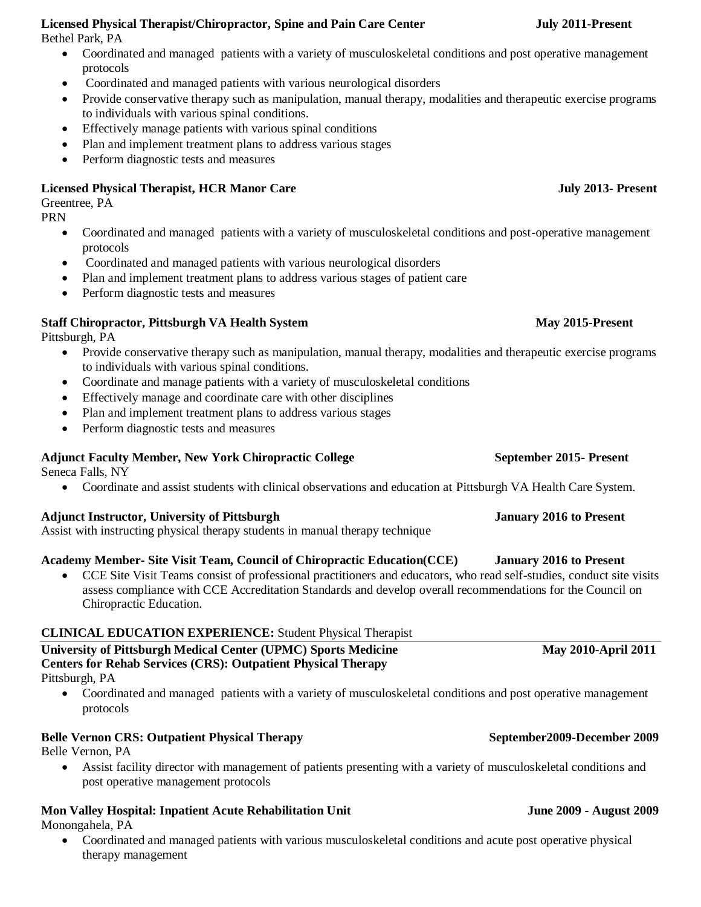- **Licensed Physical Therapist/Chiropractor, Spine and Pain Care Center July 2011-Present** Bethel Park, PA
	- Coordinated and managed patients with a variety of musculoskeletal conditions and post operative management protocols
	- Coordinated and managed patients with various neurological disorders
	- Provide conservative therapy such as manipulation, manual therapy, modalities and therapeutic exercise programs to individuals with various spinal conditions.
	- Effectively manage patients with various spinal conditions
	- Plan and implement treatment plans to address various stages
	- Perform diagnostic tests and measures

# **Licensed Physical Therapist, HCR Manor Care July 2013-** Present

# Greentree, PA

PRN

- Coordinated and managed patients with a variety of musculoskeletal conditions and post-operative management protocols
- Coordinated and managed patients with various neurological disorders
- Plan and implement treatment plans to address various stages of patient care
- Perform diagnostic tests and measures

# **Staff Chiropractor, Pittsburgh VA Health System <b>May** 2015-Present

Pittsburgh, PA

- Provide conservative therapy such as manipulation, manual therapy, modalities and therapeutic exercise programs to individuals with various spinal conditions.
- Coordinate and manage patients with a variety of musculoskeletal conditions
- Effectively manage and coordinate care with other disciplines
- Plan and implement treatment plans to address various stages
- Perform diagnostic tests and measures

# **Adjunct Faculty Member, New York Chiropractic College September 2015- Present**

Seneca Falls, NY

Coordinate and assist students with clinical observations and education at Pittsburgh VA Health Care System.

### **Adjunct Instructor, University of Pittsburgh January 2016 to Present**

Assist with instructing physical therapy students in manual therapy technique

### **Academy Member- Site Visit Team, Council of Chiropractic Education(CCE) January 2016 to Present**

 CCE Site Visit Teams consist of professional practitioners and educators, who read self-studies, conduct site visits assess compliance with CCE Accreditation Standards and develop overall recommendations for the Council on Chiropractic Education.

# **CLINICAL EDUCATION EXPERIENCE:** Student Physical Therapist

**University of Pittsburgh Medical Center (UPMC) Sports Medicine May 2010-April 2011 Centers for Rehab Services (CRS): Outpatient Physical Therapy** Pittsburgh, PA

 Coordinated and managed patients with a variety of musculoskeletal conditions and post operative management protocols

# **Belle Vernon CRS: Outpatient Physical Therapy September 2009-December 2009**

Belle Vernon, PA

 Assist facility director with management of patients presenting with a variety of musculoskeletal conditions and post operative management protocols

# **Mon Valley Hospital: Inpatient Acute Rehabilitation Unit June 2009 - August 2009**

Monongahela, PA

 Coordinated and managed patients with various musculoskeletal conditions and acute post operative physical therapy management